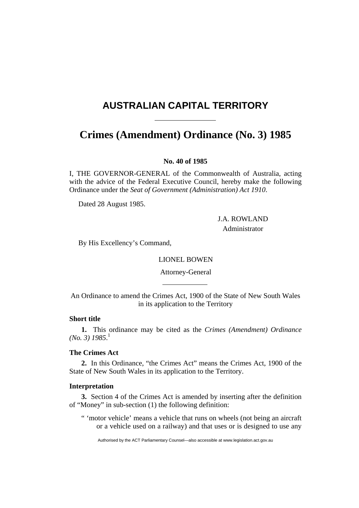# **AUSTRALIAN CAPITAL TERRITORY**

# **Crimes (Amendment) Ordinance (No. 3) 1985**

## **No. 40 of 1985**

I, THE GOVERNOR-GENERAL of the Commonwealth of Australia, acting with the advice of the Federal Executive Council, hereby make the following Ordinance under the *Seat of Government (Administration) Act 1910*.

Dated 28 August 1985.

 J.A. ROWLAND Administrator

By His Excellency's Command,

LIONEL BOWEN

Attorney-General

An Ordinance to amend the Crimes Act, 1900 of the State of New South Wales in its application to the Territory

## **Short title**

**1.** This ordinance may be cited as the *Crimes (Amendment) Ordinance (No. 3) 1985*. 1

## **The Crimes Act**

**2.** In this Ordinance, "the Crimes Act" means the Crimes Act, 1900 of the State of New South Wales in its application to the Territory.

### **Interpretation**

**3.** Section 4 of the Crimes Act is amended by inserting after the definition of "Money" in sub-section (1) the following definition:

" 'motor vehicle' means a vehicle that runs on wheels (not being an aircraft or a vehicle used on a railway) and that uses or is designed to use any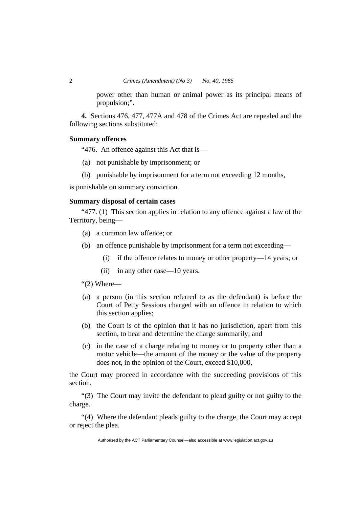power other than human or animal power as its principal means of propulsion;".

**4.** Sections 476, 477, 477A and 478 of the Crimes Act are repealed and the following sections substituted:

#### **Summary offences**

"476. An offence against this Act that is—

- (a) not punishable by imprisonment; or
- (b) punishable by imprisonment for a term not exceeding 12 months,

is punishable on summary conviction.

### **Summary disposal of certain cases**

"477. (1) This section applies in relation to any offence against a law of the Territory, being—

- (a) a common law offence; or
- (b) an offence punishable by imprisonment for a term not exceeding—
	- (i) if the offence relates to money or other property—14 years; or
	- (ii) in any other case—10 years.

#### " $(2)$  Where—

- (a) a person (in this section referred to as the defendant) is before the Court of Petty Sessions charged with an offence in relation to which this section applies;
- (b) the Court is of the opinion that it has no jurisdiction, apart from this section, to hear and determine the charge summarily; and
- (c) in the case of a charge relating to money or to property other than a motor vehicle—the amount of the money or the value of the property does not, in the opinion of the Court, exceed \$10,000,

the Court may proceed in accordance with the succeeding provisions of this section.

"(3) The Court may invite the defendant to plead guilty or not guilty to the charge.

"(4) Where the defendant pleads guilty to the charge, the Court may accept or reject the plea.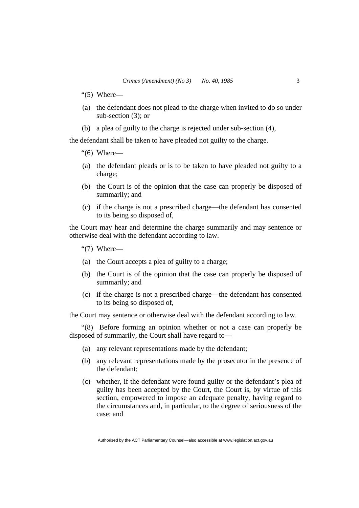- "(5) Where—
- (a) the defendant does not plead to the charge when invited to do so under sub-section (3); or
- (b) a plea of guilty to the charge is rejected under sub-section (4),

the defendant shall be taken to have pleaded not guilty to the charge.

"(6) Where—

- (a) the defendant pleads or is to be taken to have pleaded not guilty to a charge;
- (b) the Court is of the opinion that the case can properly be disposed of summarily; and
- (c) if the charge is not a prescribed charge—the defendant has consented to its being so disposed of,

the Court may hear and determine the charge summarily and may sentence or otherwise deal with the defendant according to law.

"(7) Where—

- (a) the Court accepts a plea of guilty to a charge;
- (b) the Court is of the opinion that the case can properly be disposed of summarily; and
- (c) if the charge is not a prescribed charge—the defendant has consented to its being so disposed of,

the Court may sentence or otherwise deal with the defendant according to law.

"(8) Before forming an opinion whether or not a case can properly be disposed of summarily, the Court shall have regard to—

- (a) any relevant representations made by the defendant;
- (b) any relevant representations made by the prosecutor in the presence of the defendant;
- (c) whether, if the defendant were found guilty or the defendant's plea of guilty has been accepted by the Court, the Court is, by virtue of this section, empowered to impose an adequate penalty, having regard to the circumstances and, in particular, to the degree of seriousness of the case; and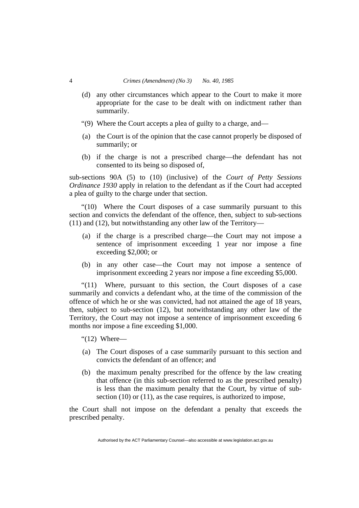- (d) any other circumstances which appear to the Court to make it more appropriate for the case to be dealt with on indictment rather than summarily.
- "(9) Where the Court accepts a plea of guilty to a charge, and—
- (a) the Court is of the opinion that the case cannot properly be disposed of summarily; or
- (b) if the charge is not a prescribed charge—the defendant has not consented to its being so disposed of,

sub-sections 90A (5) to (10) (inclusive) of the *Court of Petty Sessions Ordinance 1930* apply in relation to the defendant as if the Court had accepted a plea of guilty to the charge under that section.

"(10) Where the Court disposes of a case summarily pursuant to this section and convicts the defendant of the offence, then, subject to sub-sections (11) and (12), but notwithstanding any other law of the Territory—

- (a) if the charge is a prescribed charge—the Court may not impose a sentence of imprisonment exceeding 1 year nor impose a fine exceeding \$2,000; or
- (b) in any other case—the Court may not impose a sentence of imprisonment exceeding 2 years nor impose a fine exceeding \$5,000.

"(11) Where, pursuant to this section, the Court disposes of a case summarily and convicts a defendant who, at the time of the commission of the offence of which he or she was convicted, had not attained the age of 18 years, then, subject to sub-section (12), but notwithstanding any other law of the Territory, the Court may not impose a sentence of imprisonment exceeding 6 months nor impose a fine exceeding \$1,000.

" $(12)$  Where—

- (a) The Court disposes of a case summarily pursuant to this section and convicts the defendant of an offence; and
- (b) the maximum penalty prescribed for the offence by the law creating that offence (in this sub-section referred to as the prescribed penalty) is less than the maximum penalty that the Court, by virtue of subsection (10) or (11), as the case requires, is authorized to impose,

the Court shall not impose on the defendant a penalty that exceeds the prescribed penalty.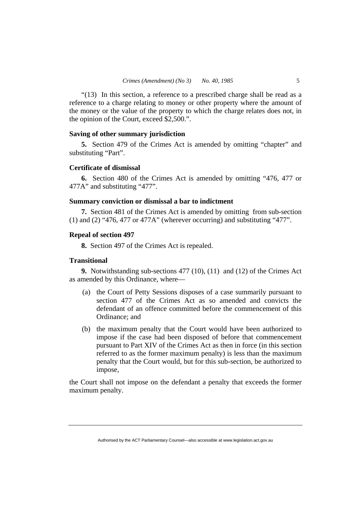"(13) In this section, a reference to a prescribed charge shall be read as a reference to a charge relating to money or other property where the amount of the money or the value of the property to which the charge relates does not, in the opinion of the Court, exceed \$2,500.".

#### **Saving of other summary jurisdiction**

**5.** Section 479 of the Crimes Act is amended by omitting "chapter" and substituting "Part".

#### **Certificate of dismissal**

**6.** Section 480 of the Crimes Act is amended by omitting "476, 477 or 477A" and substituting "477".

#### **Summary conviction or dismissal a bar to indictment**

**7.** Section 481 of the Crimes Act is amended by omitting from sub-section (1) and (2) "476, 477 or 477A" (wherever occurring) and substituting "477".

#### **Repeal of section 497**

**8.** Section 497 of the Crimes Act is repealed.

## **Transitional**

**9.** Notwithstanding sub-sections 477 (10), (11) and (12) of the Crimes Act as amended by this Ordinance, where—

- (a) the Court of Petty Sessions disposes of a case summarily pursuant to section 477 of the Crimes Act as so amended and convicts the defendant of an offence committed before the commencement of this Ordinance; and
- (b) the maximum penalty that the Court would have been authorized to impose if the case had been disposed of before that commencement pursuant to Part XIV of the Crimes Act as then in force (in this section referred to as the former maximum penalty) is less than the maximum penalty that the Court would, but for this sub-section, be authorized to impose,

the Court shall not impose on the defendant a penalty that exceeds the former maximum penalty.